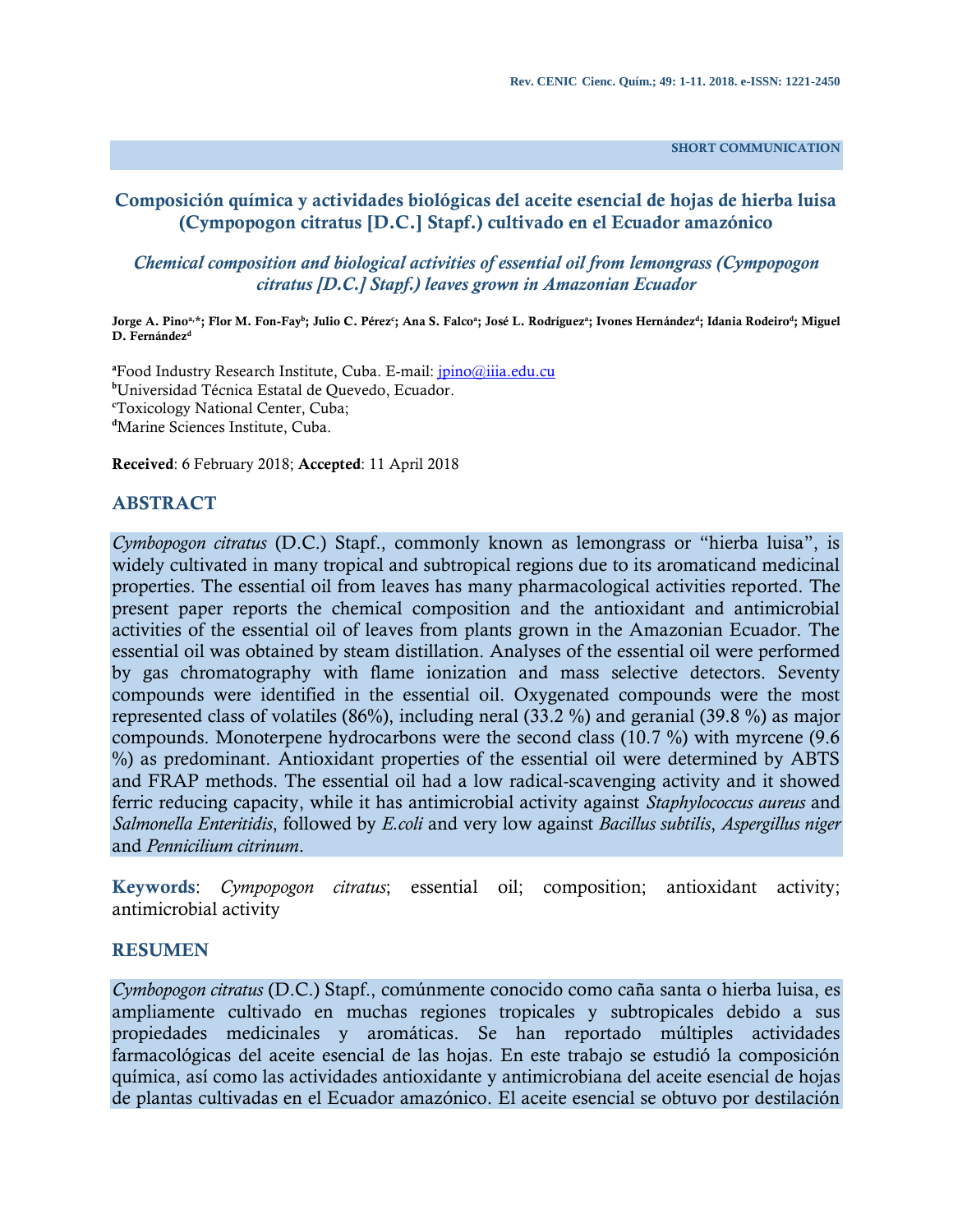**SHORT COMMUNICATION**

# **Composición química y actividades biológicas del aceite esencial de hojas de hierba luisa (Cympopogon citratus [D.C.] Stapf.) cultivado en el Ecuador amazónico**

# *Chemical composition and biological activities of essential oil from lemongrass (Cympopogon citratus [D.C.] Stapf.) leaves grown in Amazonian Ecuador*

#### Jorge A. Pinoª \*; Flor M. Fon-Fay<sup>b</sup>; Julio C. Pérez<sup>c</sup>; Ana S. Falcoª; José L. Rodríguezª; Ivones Hernández<sup>d</sup>; Idania Rodeiro<sup>d</sup>; Miguel **D. Fernández<sup>d</sup>**

**<sup>a</sup>**Food Industry Research Institute, Cuba. E-mail[: jpino@iiia.edu.cu](mailto:jpino@iiia.edu.cu) **<sup>b</sup>**Universidad Técnica Estatal de Quevedo, Ecuador. **<sup>c</sup>**Toxicology National Center, Cuba; **<sup>d</sup>**Marine Sciences Institute, Cuba.

**Received**: 6 February 2018; **Accepted**: 11 April 2018

## **ABSTRACT**

*Cymbopogon citratus* (D.C.) Stapf., commonly known as lemongrass or "hierba luisa", is widely cultivated in many tropical and subtropical regions due to its aromaticand medicinal properties. The essential oil from leaves has many pharmacological activities reported. The present paper reports the chemical composition and the antioxidant and antimicrobial activities of the essential oil of leaves from plants grown in the Amazonian Ecuador. The essential oil was obtained by steam distillation. Analyses of the essential oil were performed by gas chromatography with flame ionization and mass selective detectors. Seventy compounds were identified in the essential oil. Oxygenated compounds were the most represented class of volatiles (86%), including neral (33.2 %) and geranial (39.8 %) as major compounds. Monoterpene hydrocarbons were the second class (10.7 %) with myrcene (9.6 %) as predominant. Antioxidant properties of the essential oil were determined by ABTS and FRAP methods. The essential oil had a low radical-scavenging activity and it showed ferric reducing capacity, while it has antimicrobial activity against *Staphylococcus aureus* and *Salmonella Enteritidis*, followed by *E.coli* and very low against *Bacillus subtilis*, *Aspergillus niger*  and *Pennicilium citrinum*.

**Keywords**: *Cympopogon citratus*; essential oil; composition; antioxidant activity; antimicrobial activity

## **RESUMEN**

*Cymbopogon citratus* (D.C.) Stapf., comúnmente conocido como caña santa o hierba luisa, es ampliamente cultivado en muchas regiones tropicales y subtropicales debido a sus propiedades medicinales y aromáticas. Se han reportado múltiples actividades farmacológicas del aceite esencial de las hojas. En este trabajo se estudió la composición química, así como las actividades antioxidante y antimicrobiana del aceite esencial de hojas de plantas cultivadas en el Ecuador amazónico. El aceite esencial se obtuvo por destilación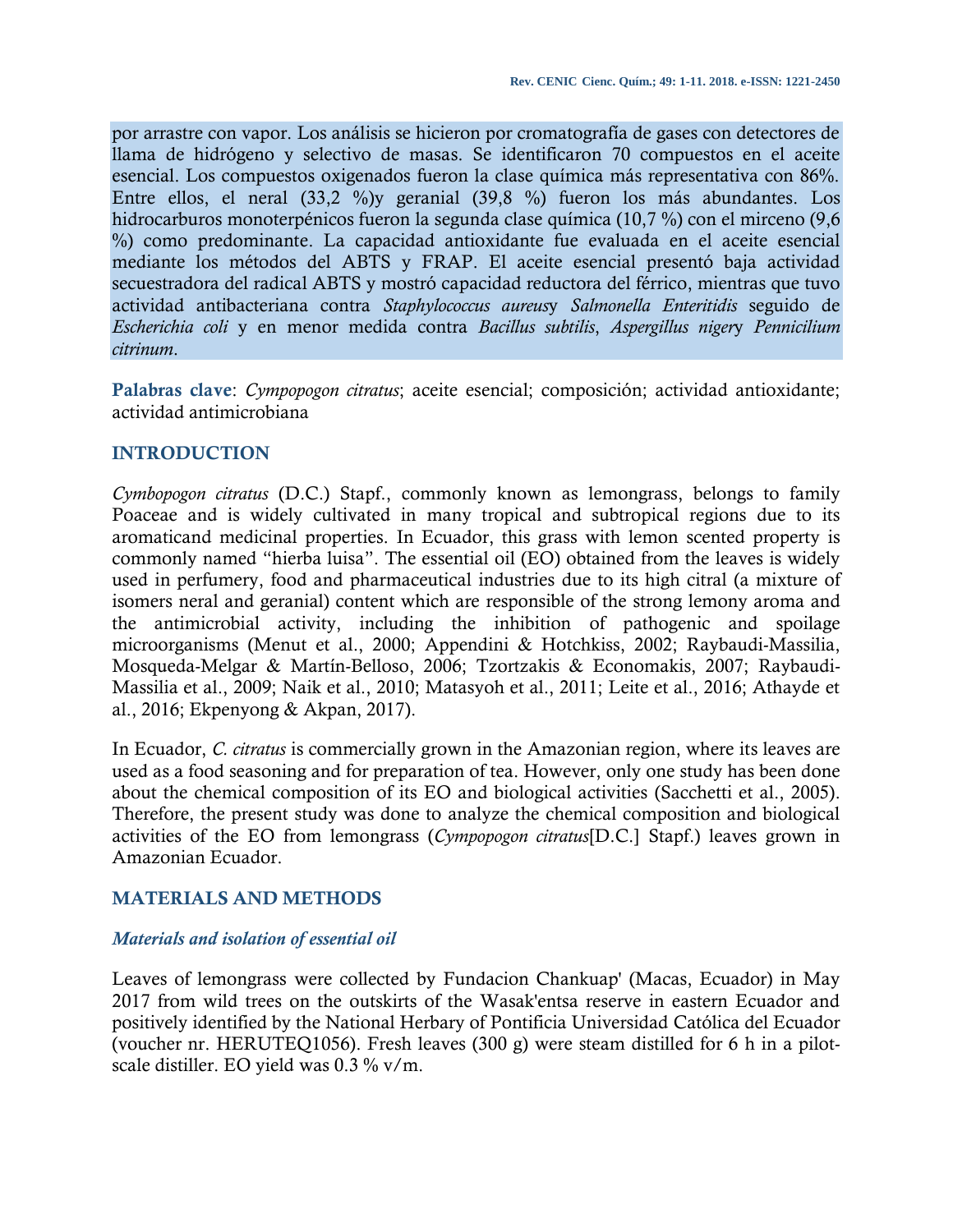por arrastre con vapor. Los análisis se hicieron por cromatografía de gases con detectores de llama de hidrógeno y selectivo de masas. Se identificaron 70 compuestos en el aceite esencial. Los compuestos oxigenados fueron la clase química más representativa con 86%. Entre ellos, el neral (33,2 %)y geranial (39,8 %) fueron los más abundantes. Los hidrocarburos monoterpénicos fueron la segunda clase química (10,7 %) con el mirceno (9,6 %) como predominante. La capacidad antioxidante fue evaluada en el aceite esencial mediante los métodos del ABTS y FRAP. El aceite esencial presentó baja actividad secuestradora del radical ABTS y mostró capacidad reductora del férrico, mientras que tuvo actividad antibacteriana contra *Staphylococcus aureus*y *Salmonella Enteritidis* seguido de *Escherichia coli* y en menor medida contra *Bacillus subtilis*, *Aspergillus niger*y *Pennicilium citrinum*.

**Palabras clave**: *Cympopogon citratus*; aceite esencial; composición; actividad antioxidante; actividad antimicrobiana

# **INTRODUCTION**

*Cymbopogon citratus* (D.C.) Stapf., commonly known as lemongrass, belongs to family Poaceae and is widely cultivated in many tropical and subtropical regions due to its aromaticand medicinal properties. In Ecuador, this grass with lemon scented property is commonly named "hierba luisa". The essential oil (EO) obtained from the leaves is widely used in perfumery, food and pharmaceutical industries due to its high citral (a mixture of isomers neral and geranial) content which are responsible of the strong lemony aroma and the antimicrobial activity, including the inhibition of pathogenic and spoilage microorganisms (Menut et al., 2000; Appendini & Hotchkiss, 2002; Raybaudi-Massilia, Mosqueda-Melgar & Martín-Belloso, 2006; Tzortzakis & Economakis, 2007; Raybaudi-Massilia et al., 2009; Naik et al., 2010; Matasyoh et al., 2011; Leite et al., 2016; Athayde et al., 2016; Ekpenyong & Akpan, 2017).

In Ecuador, *C. citratus* is commercially grown in the Amazonian region, where its leaves are used as a food seasoning and for preparation of tea. However, only one study has been done about the chemical composition of its EO and biological activities (Sacchetti et al., 2005). Therefore, the present study was done to analyze the chemical composition and biological activities of the EO from lemongrass (*Cympopogon citratus*[D.C.] Stapf.) leaves grown in Amazonian Ecuador.

# **MATERIALS AND METHODS**

# *Materials and isolation of essential oil*

Leaves of lemongrass were collected by Fundacion Chankuap' (Macas, Ecuador) in May 2017 from wild trees on the outskirts of the Wasak'entsa reserve in eastern Ecuador and positively identified by the National Herbary of Pontificia Universidad Católica del Ecuador (voucher nr. HERUTEQ1056). Fresh leaves (300 g) were steam distilled for 6 h in a pilotscale distiller. EO yield was 0.3 % v/m.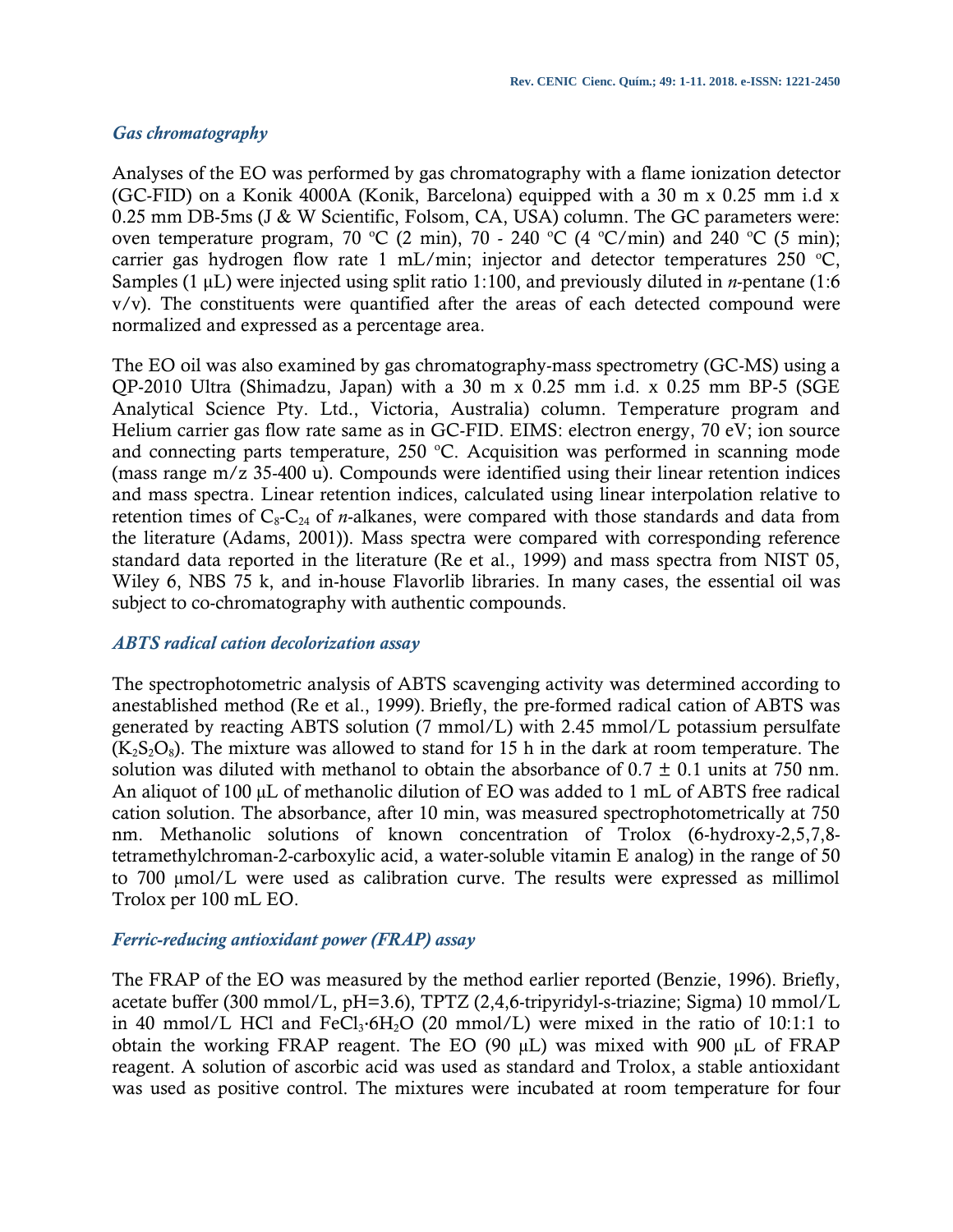# *Gas chromatography*

Analyses of the EO was performed by gas chromatography with a flame ionization detector (GC-FID) on a Konik 4000A (Konik, Barcelona) equipped with a 30 m x 0.25 mm i.d x 0.25 mm DB-5ms (J & W Scientific, Folsom, CA, USA) column. The GC parameters were: oven temperature program, 70 °C (2 min), 70 - 240 °C (4 °C/min) and 240 °C (5 min); carrier gas hydrogen flow rate 1 mL/min; injector and detector temperatures 250  $^{\circ}$ C, Samples (1 μL) were injected using split ratio 1:100, and previously diluted in *n*-pentane (1:6 v/v). The constituents were quantified after the areas of each detected compound were normalized and expressed as a percentage area.

The EO oil was also examined by gas chromatography-mass spectrometry (GC-MS) using a QP-2010 Ultra (Shimadzu, Japan) with a 30 m x 0.25 mm i.d. x 0.25 mm BP-5 (SGE Analytical Science Pty. Ltd., Victoria, Australia) column. Temperature program and Helium carrier gas flow rate same as in GC-FID. EIMS: electron energy, 70 eV; ion source and connecting parts temperature,  $250$  °C. Acquisition was performed in scanning mode (mass range m/z 35-400 u). Compounds were identified using their linear retention indices and mass spectra. Linear retention indices, calculated using linear interpolation relative to retention times of  $C_8$ - $C_{24}$  of *n*-alkanes, were compared with those standards and data from the literature (Adams, 2001)). Mass spectra were compared with corresponding reference standard data reported in the literature (Re et al., 1999) and mass spectra from NIST 05, Wiley 6, NBS 75 k, and in-house Flavorlib libraries. In many cases, the essential oil was subject to co-chromatography with authentic compounds.

## *ABTS radical cation decolorization assay*

The spectrophotometric analysis of ABTS scavenging activity was determined according to anestablished method (Re et al., 1999). Briefly, the pre-formed radical cation of ABTS was generated by reacting ABTS solution (7 mmol/L) with 2.45 mmol/L potassium persulfate  $(K_2S_2O_8)$ . The mixture was allowed to stand for 15 h in the dark at room temperature. The solution was diluted with methanol to obtain the absorbance of  $0.7 \pm 0.1$  units at 750 nm. An aliquot of 100 µL of methanolic dilution of EO was added to 1 mL of ABTS free radical cation solution. The absorbance, after 10 min, was measured spectrophotometrically at 750 nm. Methanolic solutions of known concentration of Trolox (6-hydroxy-2,5,7,8 tetramethylchroman-2-carboxylic acid, a water-soluble vitamin E analog) in the range of 50 to 700 µmol/L were used as calibration curve. The results were expressed as millimol Trolox per 100 mL EO.

## *Ferric-reducing antioxidant power (FRAP) assay*

The FRAP of the EO was measured by the method earlier reported (Benzie, 1996). Briefly, acetate buffer (300 mmol/L, pH=3.6), TPTZ (2,4,6-tripyridyl-s-triazine; Sigma) 10 mmol/L in 40 mmol/L HCl and  $FeCl<sub>3</sub>·6H<sub>2</sub>O$  (20 mmol/L) were mixed in the ratio of 10:1:1 to obtain the working FRAP reagent. The EO (90 µL) was mixed with 900 µL of FRAP reagent. A solution of ascorbic acid was used as standard and Trolox, a stable antioxidant was used as positive control. The mixtures were incubated at room temperature for four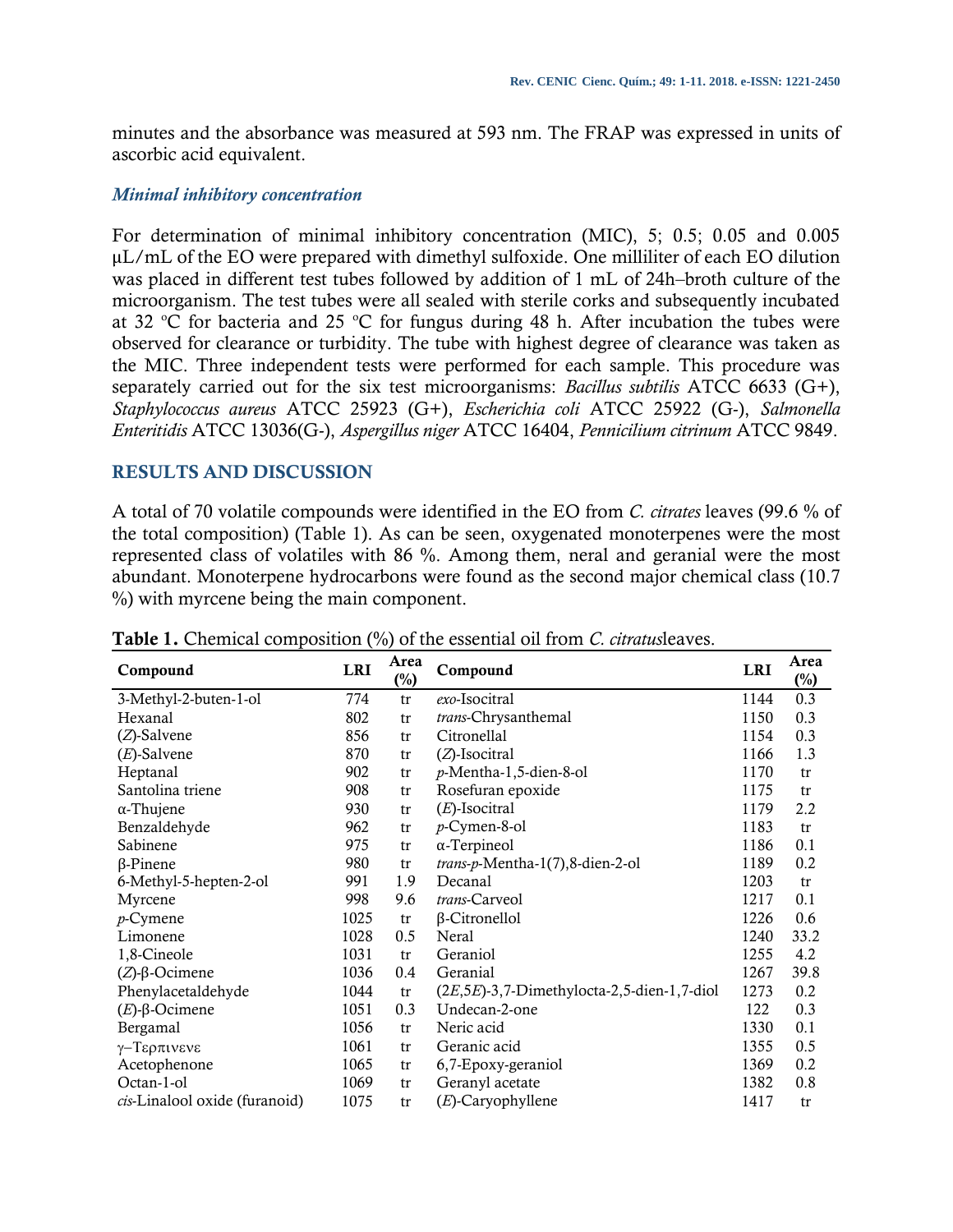minutes and the absorbance was measured at 593 nm. The FRAP was expressed in units of ascorbic acid equivalent.

## *Minimal inhibitory concentration*

For determination of minimal inhibitory concentration (MIC), 5; 0.5; 0.05 and 0.005 μL/mL of the EO were prepared with dimethyl sulfoxide. One milliliter of each EO dilution was placed in different test tubes followed by addition of 1 mL of 24h–broth culture of the microorganism. The test tubes were all sealed with sterile corks and subsequently incubated at 32  $\degree$ C for bacteria and 25  $\degree$ C for fungus during 48 h. After incubation the tubes were observed for clearance or turbidity. The tube with highest degree of clearance was taken as the MIC. Three independent tests were performed for each sample. This procedure was separately carried out for the six test microorganisms: *Bacillus subtilis* ATCC 6633 (G+), *Staphylococcus aureus* ATCC 25923 (G+), *Escherichia coli* ATCC 25922 (G-), *Salmonella Enteritidis* ATCC 13036(G-), *Aspergillus niger* ATCC 16404, *Pennicilium citrinum* ATCC 9849.

# **RESULTS AND DISCUSSION**

A total of 70 volatile compounds were identified in the EO from *C. citrates* leaves (99.6 % of the total composition) (Table 1). As can be seen, oxygenated monoterpenes were the most represented class of volatiles with 86 %. Among them, neral and geranial were the most abundant. Monoterpene hydrocarbons were found as the second major chemical class (10.7 %) with myrcene being the main component.

| Compound                      | <b>LRI</b> | Area<br>$(\%)$ | Compound                                       | <b>LRI</b> | Area<br>$\binom{0}{0}$ |
|-------------------------------|------------|----------------|------------------------------------------------|------------|------------------------|
| 3-Methyl-2-buten-1-ol         | 774        | tr             | exo-Isocitral                                  | 1144       | 0.3                    |
| Hexanal                       | 802        | tr             | trans-Chrysanthemal                            | 1150       | 0.3                    |
| $(Z)$ -Salvene                | 856        | tr             | Citronellal                                    | 1154       | 0.3                    |
| $(E)$ -Salvene                | 870        | tr             | $(Z)$ -Isocitral                               | 1166       | 1.3                    |
| Heptanal                      | 902        | tr             | p-Mentha-1,5-dien-8-ol                         | 1170       | tr                     |
| Santolina triene              | 908        | tr             | Rosefuran epoxide                              | 1175       | tr                     |
| $\alpha$ -Thujene             | 930        | tr             | $(E)$ -Isocitral                               | 1179       | 2.2                    |
| Benzaldehyde                  | 962        | tr             | $p$ -Cymen-8-ol                                | 1183       | tr                     |
| Sabinene                      | 975        | tr             | $\alpha$ -Terpineol                            | 1186       | 0.1                    |
| $\beta$ -Pinene               | 980        | tr             | trans-p-Mentha-1(7),8-dien-2-ol                | 1189       | 0.2                    |
| 6-Methyl-5-hepten-2-ol        | 991        | 1.9            | Decanal                                        | 1203       | tr                     |
| Myrcene                       | 998        | 9.6            | trans-Carveol                                  | 1217       | 0.1                    |
| $p$ -Cymene                   | 1025       | tr             | β-Citronellol                                  | 1226       | 0.6                    |
| Limonene                      | 1028       | 0.5            | Neral                                          | 1240       | 33.2                   |
| 1,8-Cineole                   | 1031       | tr             | Geraniol                                       | 1255       | 4.2                    |
| $(Z)$ -β-Ocimene              | 1036       | 0.4            | <b>Geranial</b>                                | 1267       | 39.8                   |
| Phenylacetaldehyde            | 1044       | tr             | $(2E, 5E)$ -3,7-Dimethylocta-2,5-dien-1,7-diol | 1273       | 0.2                    |
| $(E)$ -β-Ocimene              | 1051       | 0.3            | Undecan-2-one                                  | 122        | 0.3                    |
| <b>Bergamal</b>               | 1056       | tr             | Neric acid                                     | 1330       | 0.1                    |
| γ-Τερπινενε                   | 1061       | tr             | Geranic acid                                   | 1355       | 0.5                    |
| Acetophenone                  | 1065       | tr             | 6,7-Epoxy-geraniol                             | 1369       | 0.2                    |
| Octan-1-ol                    | 1069       | tr             | Geranyl acetate                                | 1382       | 0.8                    |
| cis-Linalool oxide (furanoid) | 1075       | tr             | $(E)$ -Caryophyllene                           | 1417       | tr                     |

**Table 1.** Chemical composition (%) of the essential oil from *C. citratus*leaves.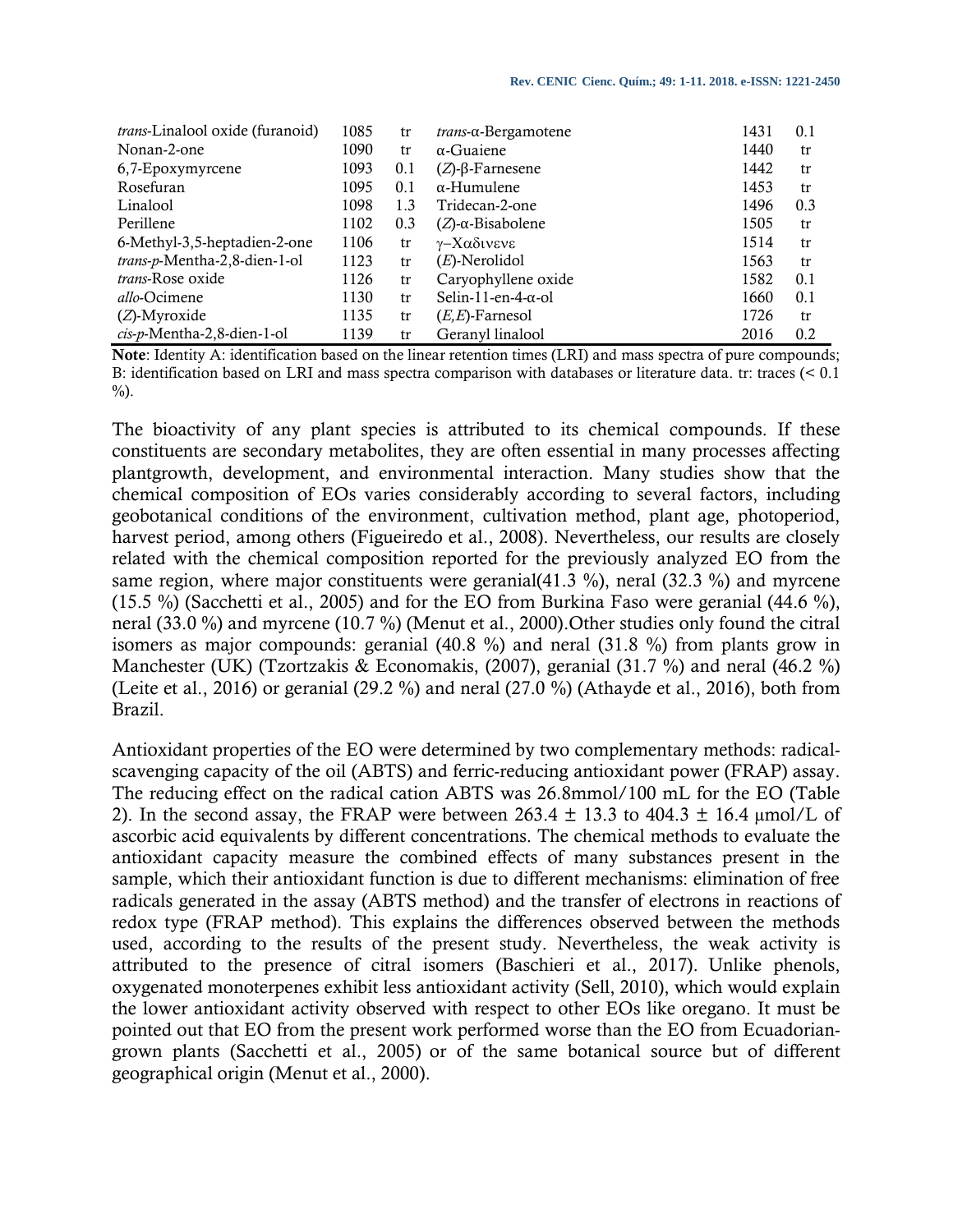| <i>trans</i> -Linalool oxide (furanoid) | 1085 | tr  | $trans-\alpha$ -Bergamotene | 1431 | 0.1 |
|-----------------------------------------|------|-----|-----------------------------|------|-----|
| Nonan-2-one                             | 1090 | tr  | $\alpha$ -Guaiene           | 1440 | tr  |
| 6,7-Epoxymyrcene                        | 1093 | 0.1 | $(Z)$ - $\beta$ -Farnesene  | 1442 | tr  |
| Rosefuran                               | 1095 | 0.1 | $\alpha$ -Humulene          | 1453 | tr  |
| Linalool                                | 1098 | 1.3 | Tridecan-2-one              | 1496 | 0.3 |
| Perillene                               | 1102 | 0.3 | $(Z)$ -α-Bisabolene         | 1505 | tr  |
| 6-Methyl-3,5-heptadien-2-one            | 1106 | tr  | γ-Χαδινενε                  | 1514 | tr  |
| trans-p-Mentha-2,8-dien-1-ol            | 1123 | tr  | $(E)$ -Nerolidol            | 1563 | tr  |
| <i>trans-Rose oxide</i>                 | 1126 | tr  | Caryophyllene oxide         | 1582 | 0.1 |
| <i>allo</i> -Ocimene                    | 1130 | tr  | Selin-11-en-4- $\alpha$ -ol | 1660 | 0.1 |
| $(Z)$ -Myroxide                         | 1135 | tr  | $(E,E)$ -Farnesol           | 1726 | tr  |
| $cis-p$ -Mentha-2,8-dien-1-ol           | 1139 | tr  | Geranyl linalool            | 2016 | 0.2 |

**Note**: Identity A: identification based on the linear retention times (LRI) and mass spectra of pure compounds; B: identification based on LRI and mass spectra comparison with databases or literature data. tr: traces (< 0.1 %).

The bioactivity of any plant species is attributed to its chemical compounds. If these constituents are secondary metabolites, they are often essential in many processes affecting plantgrowth, development, and environmental interaction. Many studies show that the chemical composition of EOs varies considerably according to several factors, including geobotanical conditions of the environment, cultivation method, plant age, photoperiod, harvest period, among others (Figueiredo et al., 2008). Nevertheless, our results are closely related with the chemical composition reported for the previously analyzed EO from the same region, where major constituents were geranial(41.3 %), neral (32.3 %) and myrcene (15.5 %) (Sacchetti et al., 2005) and for the EO from Burkina Faso were geranial (44.6 %), neral (33.0 %) and myrcene (10.7 %) (Menut et al., 2000).Other studies only found the citral isomers as major compounds: geranial (40.8 %) and neral (31.8 %) from plants grow in Manchester (UK) (Tzortzakis & Economakis, (2007), geranial (31.7 %) and neral (46.2 %) (Leite et al., 2016) or geranial (29.2 %) and neral (27.0 %) (Athayde et al., 2016), both from Brazil.

Antioxidant properties of the EO were determined by two complementary methods: radicalscavenging capacity of the oil (ABTS) and ferric-reducing antioxidant power (FRAP) assay. The reducing effect on the radical cation ABTS was 26.8mmol/100 mL for the EO (Table 2). In the second assay, the FRAP were between  $263.4 \pm 13.3$  to  $404.3 \pm 16.4$  µmol/L of ascorbic acid equivalents by different concentrations. The chemical methods to evaluate the antioxidant capacity measure the combined effects of many substances present in the sample, which their antioxidant function is due to different mechanisms: elimination of free radicals generated in the assay (ABTS method) and the transfer of electrons in reactions of redox type (FRAP method). This explains the differences observed between the methods used, according to the results of the present study. Nevertheless, the weak activity is attributed to the presence of citral isomers (Baschieri et al., 2017). Unlike phenols, oxygenated monoterpenes exhibit less antioxidant activity (Sell, 2010), which would explain the lower antioxidant activity observed with respect to other EOs like oregano. It must be pointed out that EO from the present work performed worse than the EO from Ecuadoriangrown plants (Sacchetti et al., 2005) or of the same botanical source but of different geographical origin (Menut et al., 2000).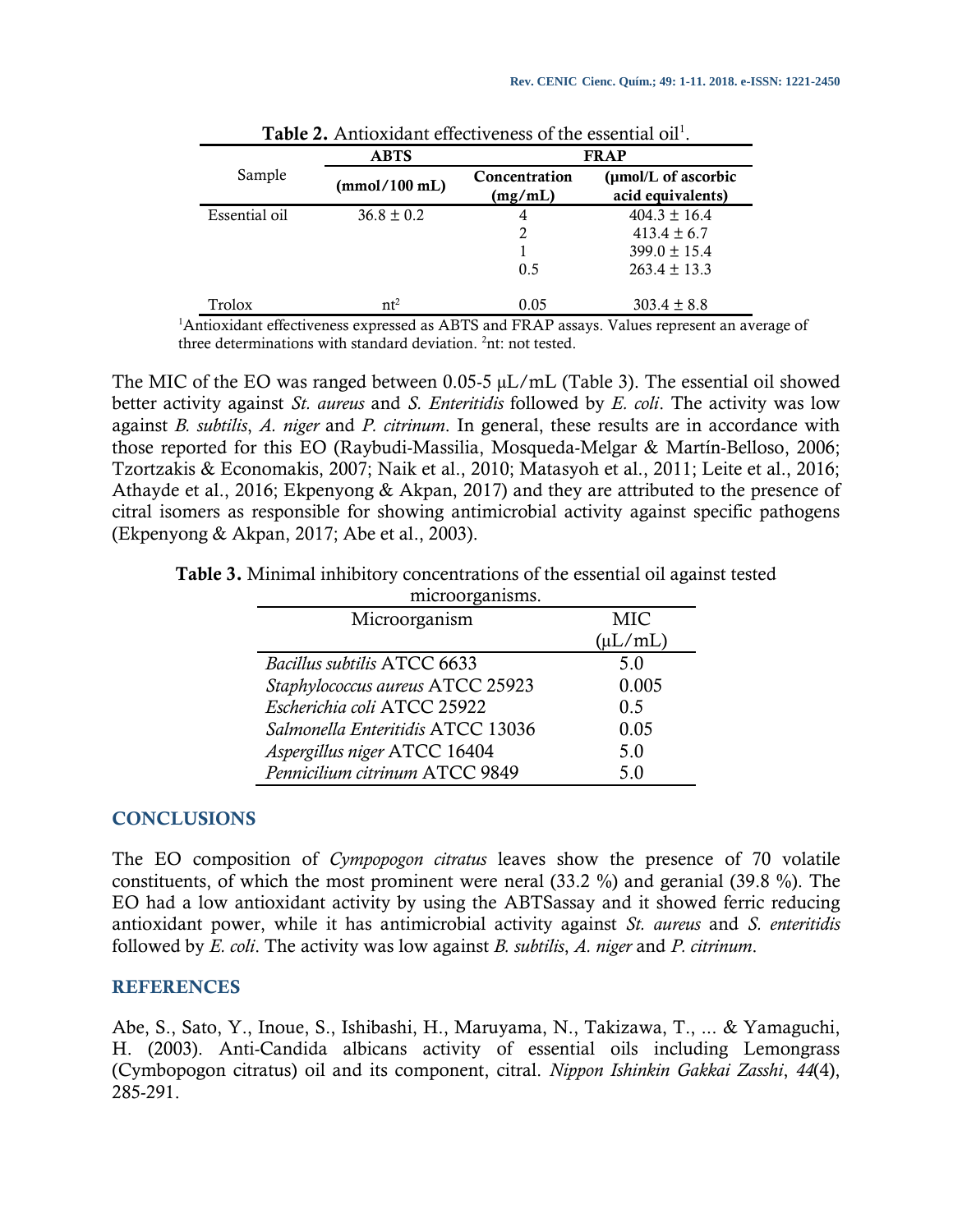|               | <b>ABTS</b>    | <b>FRAP</b>              |                                          |  |  |
|---------------|----------------|--------------------------|------------------------------------------|--|--|
| Sample        | (mmol/100 mL)  | Concentration<br>(mg/mL) | (µmol/L of ascorbic<br>acid equivalents) |  |  |
| Essential oil | $36.8 \pm 0.2$ | 4                        | $404.3 \pm 16.4$                         |  |  |
|               |                | 2                        | $413.4 \pm 6.7$                          |  |  |
|               |                |                          | $399.0 \pm 15.4$                         |  |  |
|               |                | 0.5                      | $263.4 \pm 13.3$                         |  |  |
| Trolox        | $nt^2$         | 0.05                     | $303.4 \pm 8.8$                          |  |  |

| <b>Table 2.</b> Antioxidant effectiveness of the essential oil <sup>1</sup> . |  |  |  |  |
|-------------------------------------------------------------------------------|--|--|--|--|
|-------------------------------------------------------------------------------|--|--|--|--|

<sup>1</sup>Antioxidant effectiveness expressed as ABTS and FRAP assays. Values represent an average of three determinations with standard deviation. <sup>2</sup>nt: not tested.

The MIC of the EO was ranged between 0.05-5 µL/mL (Table 3). The essential oil showed better activity against *St. aureus* and *S. Enteritidis* followed by *E. coli*. The activity was low against *B. subtilis*, *A. niger* and *P. citrinum*. In general, these results are in accordance with those reported for this EO (Raybudi-Massilia, Mosqueda-Melgar & Martín-Belloso, 2006; Tzortzakis & Economakis, 2007; Naik et al., 2010; Matasyoh et al., 2011; Leite et al., 2016; Athayde et al., 2016; Ekpenyong & Akpan, 2017) and they are attributed to the presence of citral isomers as responsible for showing antimicrobial activity against specific pathogens (Ekpenyong & Akpan, 2017; Abe et al., 2003).

**Table 3.** Minimal inhibitory concentrations of the essential oil against tested

| microorganisms.                   |              |  |  |  |
|-----------------------------------|--------------|--|--|--|
| Microorganism                     | MIC          |  |  |  |
|                                   | $(\mu L/mL)$ |  |  |  |
| Bacillus subtilis ATCC 6633       | 5.0          |  |  |  |
| Staphylococcus aureus ATCC 25923  | 0.005        |  |  |  |
| Escherichia coli ATCC 25922       | 0.5          |  |  |  |
| Salmonella Enteritidis ATCC 13036 | 0.05         |  |  |  |
| Aspergillus niger ATCC 16404      | 5.0          |  |  |  |
| Pennicilium citrinum ATCC 9849    | 5.0          |  |  |  |

## **CONCLUSIONS**

The EO composition of *Cympopogon citratus* leaves show the presence of 70 volatile constituents, of which the most prominent were neral (33.2 %) and geranial (39.8 %). The EO had a low antioxidant activity by using the ABTSassay and it showed ferric reducing antioxidant power, while it has antimicrobial activity against *St. aureus* and *S. enteritidis*  followed by *E. coli*. The activity was low against *B. subtilis*, *A. niger* and *P. citrinum*.

## **REFERENCES**

Abe, S., Sato, Y., Inoue, S., Ishibashi, H., Maruyama, N., Takizawa, T., ... & Yamaguchi, H. (2003). Anti-Candida albicans activity of essential oils including Lemongrass (Cymbopogon citratus) oil and its component, citral. *Nippon Ishinkin Gakkai Zasshi*, *44*(4), 285-291.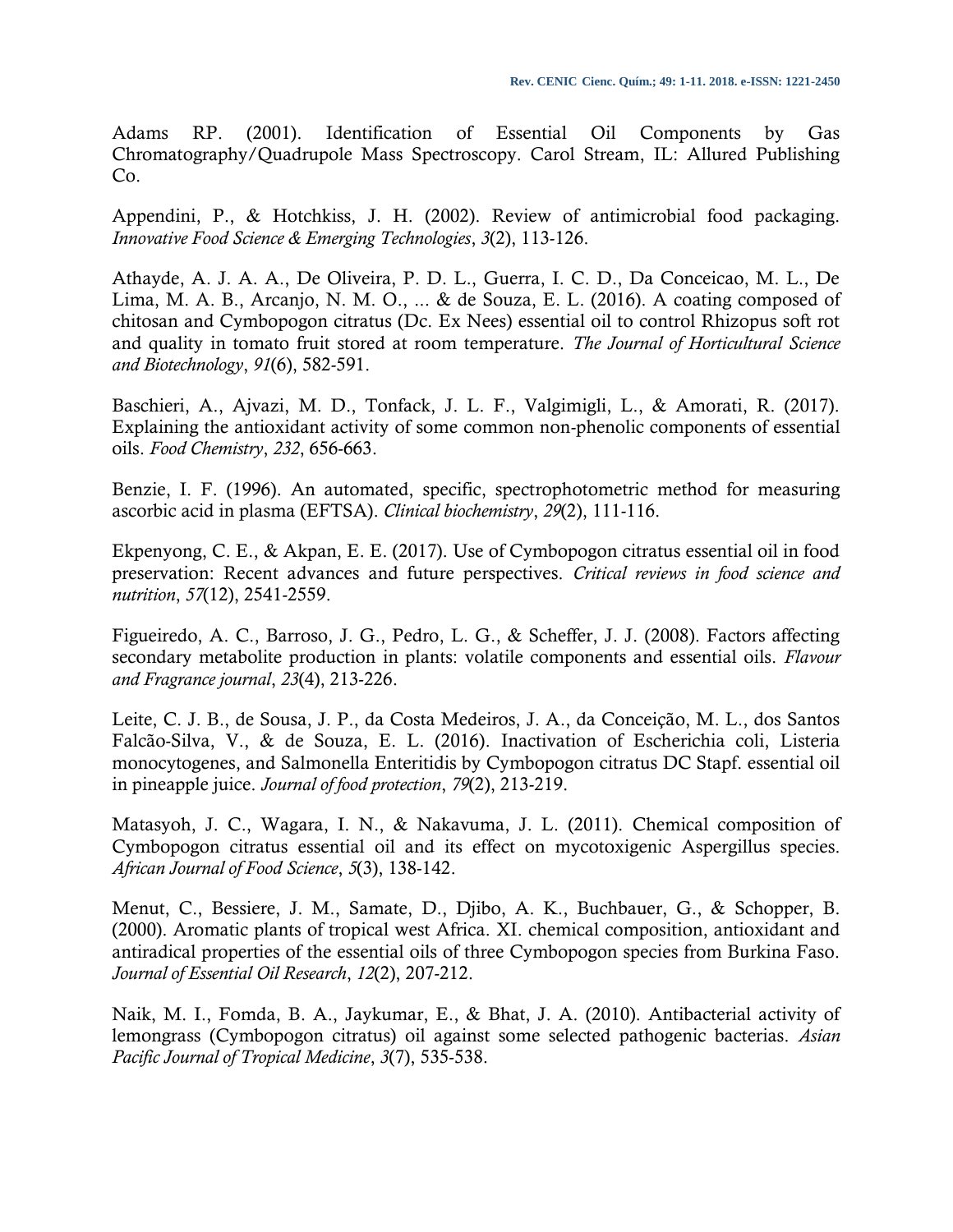Adams RP. (2001). Identification of Essential Oil Components by Gas Chromatography/Quadrupole Mass Spectroscopy. Carol Stream, IL: Allured Publishing Co.

Appendini, P., & Hotchkiss, J. H. (2002). Review of antimicrobial food packaging. *Innovative Food Science & Emerging Technologies*, *3*(2), 113-126.

Athayde, A. J. A. A., De Oliveira, P. D. L., Guerra, I. C. D., Da Conceicao, M. L., De Lima, M. A. B., Arcanjo, N. M. O., ... & de Souza, E. L. (2016). A coating composed of chitosan and Cymbopogon citratus (Dc. Ex Nees) essential oil to control Rhizopus soft rot and quality in tomato fruit stored at room temperature. *The Journal of Horticultural Science and Biotechnology*, *91*(6), 582-591.

Baschieri, A., Ajvazi, M. D., Tonfack, J. L. F., Valgimigli, L., & Amorati, R. (2017). Explaining the antioxidant activity of some common non-phenolic components of essential oils. *Food Chemistry*, *232*, 656-663.

Benzie, I. F. (1996). An automated, specific, spectrophotometric method for measuring ascorbic acid in plasma (EFTSA). *Clinical biochemistry*, *29*(2), 111-116.

Ekpenyong, C. E., & Akpan, E. E. (2017). Use of Cymbopogon citratus essential oil in food preservation: Recent advances and future perspectives. *Critical reviews in food science and nutrition*, *57*(12), 2541-2559.

Figueiredo, A. C., Barroso, J. G., Pedro, L. G., & Scheffer, J. J. (2008). Factors affecting secondary metabolite production in plants: volatile components and essential oils. *Flavour and Fragrance journal*, *23*(4), 213-226.

Leite, C. J. B., de Sousa, J. P., da Costa Medeiros, J. A., da Conceição, M. L., dos Santos Falcão-Silva, V., & de Souza, E. L. (2016). Inactivation of Escherichia coli, Listeria monocytogenes, and Salmonella Enteritidis by Cymbopogon citratus DC Stapf. essential oil in pineapple juice. *Journal of food protection*, *79*(2), 213-219.

Matasyoh, J. C., Wagara, I. N., & Nakavuma, J. L. (2011). Chemical composition of Cymbopogon citratus essential oil and its effect on mycotoxigenic Aspergillus species. *African Journal of Food Science*, *5*(3), 138-142.

Menut, C., Bessiere, J. M., Samate, D., Djibo, A. K., Buchbauer, G., & Schopper, B. (2000). Aromatic plants of tropical west Africa. XI. chemical composition, antioxidant and antiradical properties of the essential oils of three Cymbopogon species from Burkina Faso. *Journal of Essential Oil Research*, *12*(2), 207-212.

Naik, M. I., Fomda, B. A., Jaykumar, E., & Bhat, J. A. (2010). Antibacterial activity of lemongrass (Cymbopogon citratus) oil against some selected pathogenic bacterias. *Asian Pacific Journal of Tropical Medicine*, *3*(7), 535-538.